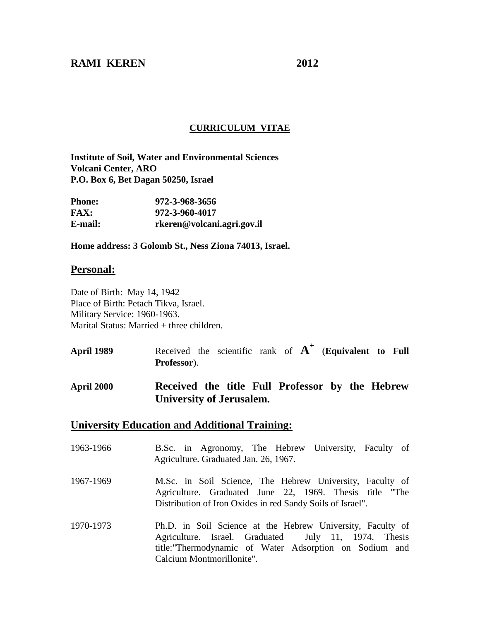### **RAMI KEREN 2012**

### **CURRICULUM VITAE**

**Institute of Soil, Water and Environmental Sciences Volcani Center, ARO P.O. Box 6, Bet Dagan 50250, Israel**

| Phone:  | 972-3-968-3656             |
|---------|----------------------------|
| FAX:    | 972-3-960-4017             |
| E-mail: | rkeren@volcani.agri.gov.il |

**Home address: 3 Golomb St., Ness Ziona 74013, Israel.** 

### **Personal:**

Date of Birth: May 14, 1942 Place of Birth: Petach Tikva, Israel. Military Service: 1960-1963. Marital Status: Married + three children.

- **April 1989** Received the scientific rank of **A +** (**Equivalent to Full Professor**).
- **April 2000 Received the title Full Professor by the Hebrew University of Jerusalem.**

#### **University Education and Additional Training:**

- 1963-1966 B.Sc. in Agronomy, The Hebrew University, Faculty of Agriculture. Graduated Jan. 26, 1967.
- 1967-1969 M.Sc. in Soil Science, The Hebrew University, Faculty of Agriculture. Graduated June 22, 1969. Thesis title "The Distribution of Iron Oxides in red Sandy Soils of Israel".
- 1970-1973 Ph.D. in Soil Science at the Hebrew University, Faculty of Agriculture. Israel. Graduated July 11, 1974. Thesis title:"Thermodynamic of Water Adsorption on Sodium and Calcium Montmorillonite".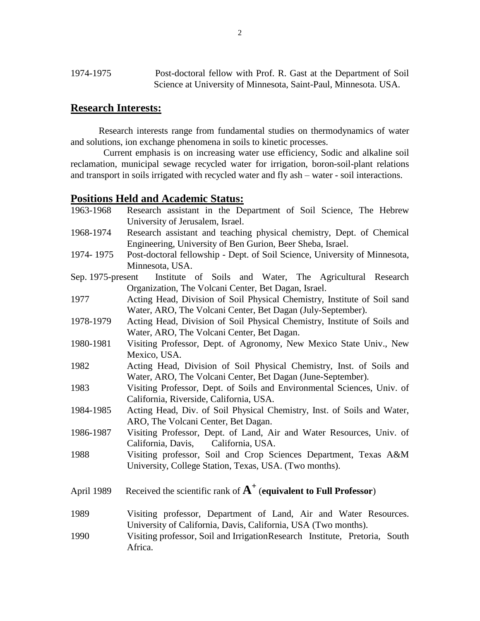# **Research Interests:**

Research interests range from fundamental studies on thermodynamics of water and solutions, ion exchange phenomena in soils to kinetic processes.

 Current emphasis is on increasing water use efficiency, Sodic and alkaline soil reclamation, municipal sewage recycled water for irrigation, boron-soil-plant relations and transport in soils irrigated with recycled water and fly ash – water - soil interactions.

### **Positions Held and Academic Status:**

| 1963-1968         | Research assistant in the Department of Soil Science, The Hebrew<br>University of Jerusalem, Israel. |
|-------------------|------------------------------------------------------------------------------------------------------|
| 1968-1974         | Research assistant and teaching physical chemistry, Dept. of Chemical                                |
|                   | Engineering, University of Ben Gurion, Beer Sheba, Israel.                                           |
| 1974-1975         | Post-doctoral fellowship - Dept. of Soil Science, University of Minnesota,                           |
|                   | Minnesota, USA.                                                                                      |
| Sep. 1975-present | Institute of Soils and Water, The Agricultural Research                                              |
|                   | Organization, The Volcani Center, Bet Dagan, Israel.                                                 |
| 1977              | Acting Head, Division of Soil Physical Chemistry, Institute of Soil sand                             |
|                   | Water, ARO, The Volcani Center, Bet Dagan (July-September).                                          |
| 1978-1979         | Acting Head, Division of Soil Physical Chemistry, Institute of Soils and                             |
|                   | Water, ARO, The Volcani Center, Bet Dagan.                                                           |
| 1980-1981         | Visiting Professor, Dept. of Agronomy, New Mexico State Univ., New                                   |
|                   | Mexico, USA.                                                                                         |
| 1982              | Acting Head, Division of Soil Physical Chemistry, Inst. of Soils and                                 |
|                   | Water, ARO, The Volcani Center, Bet Dagan (June-September).                                          |
| 1983              | Visiting Professor, Dept. of Soils and Environmental Sciences, Univ. of                              |
|                   | California, Riverside, California, USA.                                                              |
| 1984-1985         | Acting Head, Div. of Soil Physical Chemistry, Inst. of Soils and Water,                              |
|                   | ARO, The Volcani Center, Bet Dagan.                                                                  |
| 1986-1987         | Visiting Professor, Dept. of Land, Air and Water Resources, Univ. of                                 |
|                   | California, Davis, California, USA.                                                                  |
| 1988              | Visiting professor, Soil and Crop Sciences Department, Texas A&M                                     |
|                   | University, College Station, Texas, USA. (Two months).                                               |
|                   |                                                                                                      |
| April 1989        | Received the scientific rank of $A^+$ (equivalent to Full Professor)                                 |
|                   |                                                                                                      |
| 1989              | Visiting professor, Department of Land, Air and Water Resources.                                     |
|                   | University of California, Davis, California, USA (Two months).                                       |
| 1990              | Visiting professor, Soil and IrrigationResearch Institute, Pretoria, South                           |
|                   | Africa.                                                                                              |
|                   |                                                                                                      |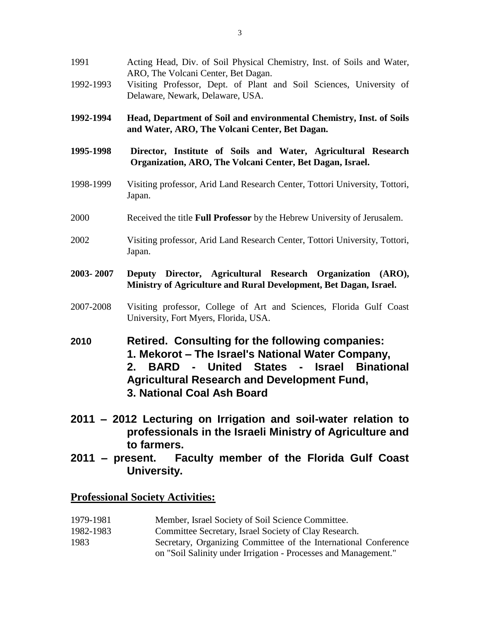- 1991 Acting Head, Div. of Soil Physical Chemistry, Inst. of Soils and Water, ARO, The Volcani Center, Bet Dagan.
- 1992-1993 Visiting Professor, Dept. of Plant and Soil Sciences, University of Delaware, Newark, Delaware, USA.
- **1992-1994 Head, Department of Soil and environmental Chemistry, Inst. of Soils and Water, ARO, The Volcani Center, Bet Dagan.**
- **1995-1998 Director, Institute of Soils and Water, Agricultural Research Organization, ARO, The Volcani Center, Bet Dagan, Israel.**
- 1998-1999 Visiting professor, Arid Land Research Center, Tottori University, Tottori, Japan.
- 2000 Received the title **Full Professor** by the Hebrew University of Jerusalem.
- 2002 Visiting professor, Arid Land Research Center, Tottori University, Tottori, Japan.
- **2003- 2007 Deputy Director, Agricultural Research Organization (ARO), Ministry of Agriculture and Rural Development, Bet Dagan, Israel.**
- 2007-2008 Visiting professor, College of Art and Sciences, Florida Gulf Coast University, Fort Myers, Florida, USA.
- **2010 Retired. Consulting for the following companies: 1. Mekorot – The Israel's National Water Company, 2. BARD - United States - Israel Binational Agricultural Research and Development Fund, 3. National Coal Ash Board**
- **2011 – 2012 Lecturing on Irrigation and soil-water relation to professionals in the Israeli Ministry of Agriculture and to farmers.**
- **2011 – present. Faculty member of the Florida Gulf Coast University.**

### **Professional Society Activities:**

- 1979-1981 Member, Israel Society of Soil Science Committee.
- 1982-1983 Committee Secretary, Israel Society of Clay Research.
- 1983 Secretary, Organizing Committee of the International Conference on "Soil Salinity under Irrigation - Processes and Management."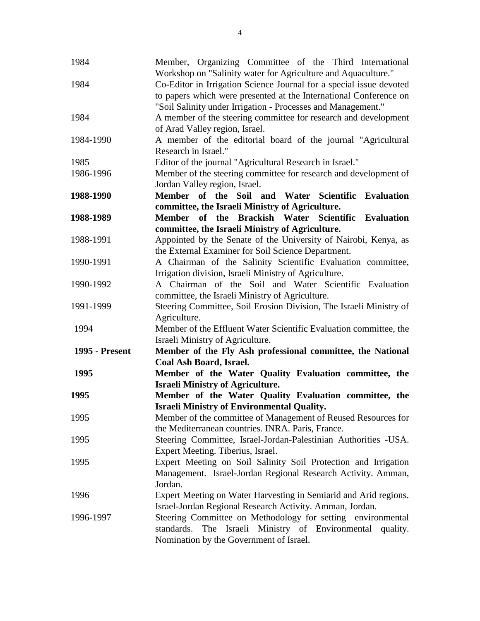| 1984                  | Member, Organizing Committee of the Third International                              |
|-----------------------|--------------------------------------------------------------------------------------|
|                       | Workshop on "Salinity water for Agriculture and Aquaculture."                        |
| 1984                  | Co-Editor in Irrigation Science Journal for a special issue devoted                  |
|                       | to papers which were presented at the International Conference on                    |
|                       | "Soil Salinity under Irrigation - Processes and Management."                         |
| 1984                  | A member of the steering committee for research and development                      |
|                       | of Arad Valley region, Israel.                                                       |
| 1984-1990             | A member of the editorial board of the journal "Agricultural<br>Research in Israel." |
| 1985                  |                                                                                      |
|                       | Editor of the journal "Agricultural Research in Israel."                             |
| 1986-1996             | Member of the steering committee for research and development of                     |
|                       | Jordan Valley region, Israel.                                                        |
| 1988-1990             | Member of the Soil and Water Scientific<br><b>Evaluation</b>                         |
|                       | committee, the Israeli Ministry of Agriculture.                                      |
| 1988-1989             | Member of the Brackish Water Scientific Evaluation                                   |
|                       | committee, the Israeli Ministry of Agriculture.                                      |
| 1988-1991             | Appointed by the Senate of the University of Nairobi, Kenya, as                      |
|                       | the External Examiner for Soil Science Department.                                   |
| 1990-1991             | A Chairman of the Salinity Scientific Evaluation committee,                          |
|                       | Irrigation division, Israeli Ministry of Agriculture.                                |
| 1990-1992             | A Chairman of the Soil and Water Scientific Evaluation                               |
|                       | committee, the Israeli Ministry of Agriculture.                                      |
| 1991-1999             | Steering Committee, Soil Erosion Division, The Israeli Ministry of                   |
|                       | Agriculture.                                                                         |
| 1994                  | Member of the Effluent Water Scientific Evaluation committee, the                    |
|                       | Israeli Ministry of Agriculture.                                                     |
| <b>1995 - Present</b> | Member of the Fly Ash professional committee, the National                           |
|                       | Coal Ash Board, Israel.                                                              |
| 1995                  | Member of the Water Quality Evaluation committee, the                                |
|                       | <b>Israeli Ministry of Agriculture.</b>                                              |
| 1995                  | Member of the Water Quality Evaluation committee, the                                |
|                       | <b>Israeli Ministry of Environmental Quality.</b>                                    |
| 1995                  | Member of the committee of Management of Reused Resources for                        |
|                       | the Mediterranean countries. INRA. Paris, France.                                    |
| 1995                  | Steering Committee, Israel-Jordan-Palestinian Authorities -USA.                      |
|                       | Expert Meeting. Tiberius, Israel.                                                    |
| 1995                  | Expert Meeting on Soil Salinity Soil Protection and Irrigation                       |
|                       | Management. Israel-Jordan Regional Research Activity. Amman,                         |
|                       | Jordan.                                                                              |
| 1996                  | Expert Meeting on Water Harvesting in Semiarid and Arid regions.                     |
|                       | Israel-Jordan Regional Research Activity. Amman, Jordan.                             |
| 1996-1997             | Steering Committee on Methodology for setting environmental                          |
|                       | standards. The Israeli Ministry of Environmental quality.                            |
|                       | Nomination by the Government of Israel.                                              |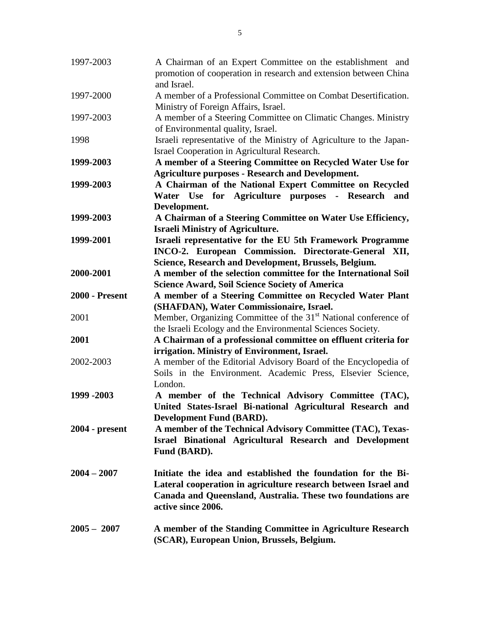| 1997-2003             | A Chairman of an Expert Committee on the establishment and<br>promotion of cooperation in research and extension between China                                                                                      |
|-----------------------|---------------------------------------------------------------------------------------------------------------------------------------------------------------------------------------------------------------------|
| 1997-2000             | and Israel.<br>A member of a Professional Committee on Combat Desertification.                                                                                                                                      |
| 1997-2003             | Ministry of Foreign Affairs, Israel.<br>A member of a Steering Committee on Climatic Changes. Ministry<br>of Environmental quality, Israel.                                                                         |
| 1998                  | Israeli representative of the Ministry of Agriculture to the Japan-<br>Israel Cooperation in Agricultural Research.                                                                                                 |
| 1999-2003             | A member of a Steering Committee on Recycled Water Use for                                                                                                                                                          |
|                       | <b>Agriculture purposes - Research and Development.</b>                                                                                                                                                             |
| 1999-2003             | A Chairman of the National Expert Committee on Recycled<br>Water Use for Agriculture purposes - Research and                                                                                                        |
|                       | Development.                                                                                                                                                                                                        |
| 1999-2003             | A Chairman of a Steering Committee on Water Use Efficiency,                                                                                                                                                         |
|                       | <b>Israeli Ministry of Agriculture.</b>                                                                                                                                                                             |
| 1999-2001             | Israeli representative for the EU 5th Framework Programme<br>INCO-2. European Commission. Directorate-General XII,                                                                                                  |
|                       | Science, Research and Development, Brussels, Belgium.                                                                                                                                                               |
| 2000-2001             | A member of the selection committee for the International Soil                                                                                                                                                      |
|                       | <b>Science Award, Soil Science Society of America</b>                                                                                                                                                               |
| <b>2000 - Present</b> | A member of a Steering Committee on Recycled Water Plant                                                                                                                                                            |
|                       | (SHAFDAN), Water Commissionaire, Israel.                                                                                                                                                                            |
| 2001                  | Member, Organizing Committee of the 31 <sup>st</sup> National conference of                                                                                                                                         |
|                       | the Israeli Ecology and the Environmental Sciences Society.                                                                                                                                                         |
| 2001                  | A Chairman of a professional committee on effluent criteria for                                                                                                                                                     |
|                       | irrigation. Ministry of Environment, Israel.                                                                                                                                                                        |
| 2002-2003             | A member of the Editorial Advisory Board of the Encyclopedia of<br>Soils in the Environment. Academic Press, Elsevier Science,<br>London.                                                                           |
| 1999 - 2003           | A member of the Technical Advisory Committee (TAC),                                                                                                                                                                 |
|                       | United States-Israel Bi-national Agricultural Research and                                                                                                                                                          |
|                       | <b>Development Fund (BARD).</b>                                                                                                                                                                                     |
| $2004$ - present      | A member of the Technical Advisory Committee (TAC), Texas-                                                                                                                                                          |
|                       | Israel Binational Agricultural Research and Development<br>Fund (BARD).                                                                                                                                             |
| $2004 - 2007$         | Initiate the idea and established the foundation for the Bi-<br>Lateral cooperation in agriculture research between Israel and<br>Canada and Queensland, Australia. These two foundations are<br>active since 2006. |
| $2005 - 2007$         | A member of the Standing Committee in Agriculture Research<br>(SCAR), European Union, Brussels, Belgium.                                                                                                            |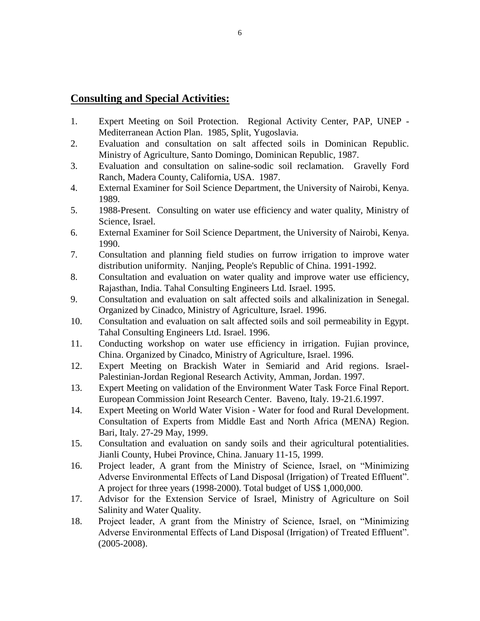# **Consulting and Special Activities:**

- 1. Expert Meeting on Soil Protection. Regional Activity Center, PAP, UNEP Mediterranean Action Plan. 1985, Split, Yugoslavia.
- 2. Evaluation and consultation on salt affected soils in Dominican Republic. Ministry of Agriculture, Santo Domingo, Dominican Republic, 1987.
- 3. Evaluation and consultation on saline-sodic soil reclamation. Gravelly Ford Ranch, Madera County, California, USA. 1987.
- 4. External Examiner for Soil Science Department, the University of Nairobi, Kenya. 1989.
- 5. 1988-Present. Consulting on water use efficiency and water quality, Ministry of Science, Israel.
- 6. External Examiner for Soil Science Department, the University of Nairobi, Kenya. 1990.
- 7. Consultation and planning field studies on furrow irrigation to improve water distribution uniformity. Nanjing, People's Republic of China. 1991-1992.
- 8. Consultation and evaluation on water quality and improve water use efficiency, Rajasthan, India. Tahal Consulting Engineers Ltd. Israel. 1995.
- 9. Consultation and evaluation on salt affected soils and alkalinization in Senegal. Organized by Cinadco, Ministry of Agriculture, Israel. 1996.
- 10. Consultation and evaluation on salt affected soils and soil permeability in Egypt. Tahal Consulting Engineers Ltd. Israel. 1996.
- 11. Conducting workshop on water use efficiency in irrigation. Fujian province, China. Organized by Cinadco, Ministry of Agriculture, Israel. 1996.
- 12. Expert Meeting on Brackish Water in Semiarid and Arid regions. Israel-Palestinian-Jordan Regional Research Activity, Amman, Jordan. 1997.
- 13. Expert Meeting on validation of the Environment Water Task Force Final Report. European Commission Joint Research Center. Baveno, Italy. 19-21.6.1997.
- 14. Expert Meeting on World Water Vision Water for food and Rural Development. Consultation of Experts from Middle East and North Africa (MENA) Region. Bari, Italy. 27-29 May, 1999.
- 15. Consultation and evaluation on sandy soils and their agricultural potentialities. Jianli County, Hubei Province, China. January 11-15, 1999.
- 16. Project leader, A grant from the Ministry of Science, Israel, on "Minimizing Adverse Environmental Effects of Land Disposal (Irrigation) of Treated Effluent". A project for three years (1998-2000). Total budget of US\$ 1,000,000.
- 17. Advisor for the Extension Service of Israel, Ministry of Agriculture on Soil Salinity and Water Quality.
- 18. Project leader, A grant from the Ministry of Science, Israel, on "Minimizing Adverse Environmental Effects of Land Disposal (Irrigation) of Treated Effluent". (2005-2008).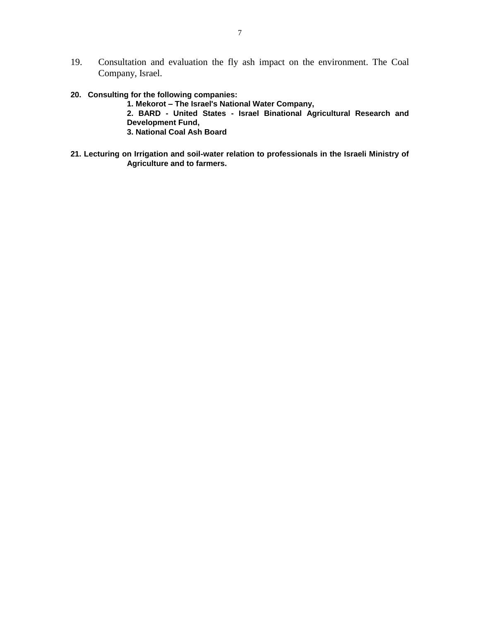- 19. Consultation and evaluation the fly ash impact on the environment. The Coal Company, Israel.
- **20. Consulting for the following companies:**

**1. Mekorot – The Israel's National Water Company, 2. BARD - United States - Israel Binational Agricultural Research and Development Fund, 3. National Coal Ash Board**

**21. Lecturing on Irrigation and soil-water relation to professionals in the Israeli Ministry of Agriculture and to farmers.**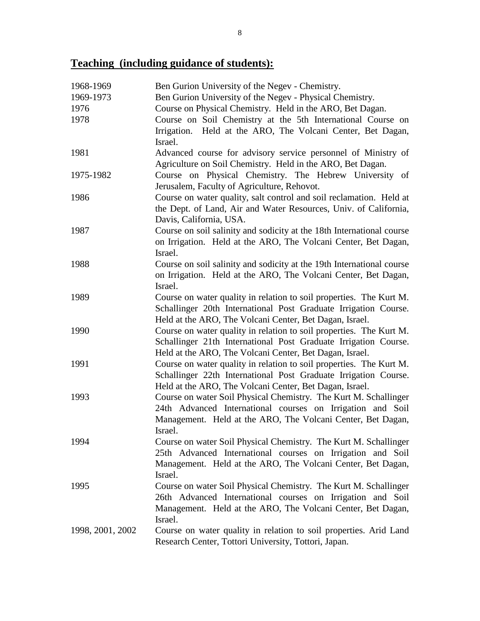# **Teaching (including guidance of students):**

| 1968-1969        | Ben Gurion University of the Negev - Chemistry.                                                                                |
|------------------|--------------------------------------------------------------------------------------------------------------------------------|
| 1969-1973        | Ben Gurion University of the Negev - Physical Chemistry.                                                                       |
| 1976             | Course on Physical Chemistry. Held in the ARO, Bet Dagan.                                                                      |
| 1978             | Course on Soil Chemistry at the 5th International Course on                                                                    |
|                  | Irrigation. Held at the ARO, The Volcani Center, Bet Dagan,                                                                    |
|                  | Israel.                                                                                                                        |
| 1981             | Advanced course for advisory service personnel of Ministry of                                                                  |
|                  | Agriculture on Soil Chemistry. Held in the ARO, Bet Dagan.                                                                     |
| 1975-1982        | Course on Physical Chemistry. The Hebrew University of                                                                         |
|                  | Jerusalem, Faculty of Agriculture, Rehovot.                                                                                    |
| 1986             | Course on water quality, salt control and soil reclamation. Held at                                                            |
|                  | the Dept. of Land, Air and Water Resources, Univ. of California,                                                               |
|                  | Davis, California, USA.                                                                                                        |
| 1987             | Course on soil salinity and sodicity at the 18th International course                                                          |
|                  | on Irrigation. Held at the ARO, The Volcani Center, Bet Dagan,                                                                 |
|                  | Israel.                                                                                                                        |
| 1988             | Course on soil salinity and sodicity at the 19th International course                                                          |
|                  | on Irrigation. Held at the ARO, The Volcani Center, Bet Dagan,                                                                 |
|                  | Israel.                                                                                                                        |
| 1989             | Course on water quality in relation to soil properties. The Kurt M.                                                            |
|                  | Schallinger 20th International Post Graduate Irrigation Course.                                                                |
|                  | Held at the ARO, The Volcani Center, Bet Dagan, Israel.                                                                        |
| 1990             | Course on water quality in relation to soil properties. The Kurt M.                                                            |
|                  | Schallinger 21th International Post Graduate Irrigation Course.                                                                |
| 1991             | Held at the ARO, The Volcani Center, Bet Dagan, Israel.<br>Course on water quality in relation to soil properties. The Kurt M. |
|                  | Schallinger 22th International Post Graduate Irrigation Course.                                                                |
|                  | Held at the ARO, The Volcani Center, Bet Dagan, Israel.                                                                        |
| 1993             | Course on water Soil Physical Chemistry. The Kurt M. Schallinger                                                               |
|                  | 24th Advanced International courses on Irrigation and Soil                                                                     |
|                  | Management. Held at the ARO, The Volcani Center, Bet Dagan,                                                                    |
|                  | Israel.                                                                                                                        |
| 1994             | Course on water Soil Physical Chemistry. The Kurt M. Schallinger                                                               |
|                  | 25th Advanced International courses on Irrigation and Soil                                                                     |
|                  | Management. Held at the ARO, The Volcani Center, Bet Dagan,                                                                    |
|                  | Israel.                                                                                                                        |
| 1995             | Course on water Soil Physical Chemistry. The Kurt M. Schallinger                                                               |
|                  | 26th Advanced International courses on Irrigation and Soil                                                                     |
|                  | Management. Held at the ARO, The Volcani Center, Bet Dagan,                                                                    |
|                  | Israel.                                                                                                                        |
| 1998, 2001, 2002 | Course on water quality in relation to soil properties. Arid Land                                                              |
|                  | Research Center, Tottori University, Tottori, Japan.                                                                           |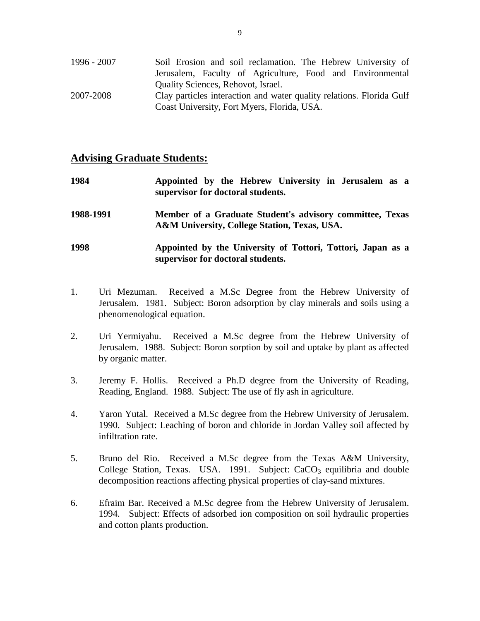| 1996 - 2007 | Soil Erosion and soil reclamation. The Hebrew University of          |
|-------------|----------------------------------------------------------------------|
|             | Jerusalem, Faculty of Agriculture, Food and Environmental            |
|             | <b>Ouality Sciences, Rehovot, Israel.</b>                            |
| 2007-2008   | Clay particles interaction and water quality relations. Florida Gulf |
|             | Coast University, Fort Myers, Florida, USA.                          |

### **Advising Graduate Students:**

| 1984      | Appointed by the Hebrew University in Jerusalem as a<br>supervisor for doctoral students.                |
|-----------|----------------------------------------------------------------------------------------------------------|
| 1988-1991 | Member of a Graduate Student's advisory committee, Texas<br>A&M University, College Station, Texas, USA. |
| 1998      | Appointed by the University of Tottori, Tottori, Japan as a<br>supervisor for doctoral students.         |

- 1. Uri Mezuman. Received a M.Sc Degree from the Hebrew University of Jerusalem. 1981. Subject: Boron adsorption by clay minerals and soils using a phenomenological equation.
- 2. Uri Yermiyahu. Received a M.Sc degree from the Hebrew University of Jerusalem. 1988. Subject: Boron sorption by soil and uptake by plant as affected by organic matter.
- 3. Jeremy F. Hollis. Received a Ph.D degree from the University of Reading, Reading, England. 1988. Subject: The use of fly ash in agriculture.
- 4. Yaron Yutal. Received a M.Sc degree from the Hebrew University of Jerusalem. 1990. Subject: Leaching of boron and chloride in Jordan Valley soil affected by infiltration rate.
- 5. Bruno del Rio. Received a M.Sc degree from the Texas A&M University, College Station, Texas. USA. 1991. Subject: CaCO<sub>3</sub> equilibria and double decomposition reactions affecting physical properties of clay-sand mixtures.
- 6. Efraim Bar. Received a M.Sc degree from the Hebrew University of Jerusalem. 1994. Subject: Effects of adsorbed ion composition on soil hydraulic properties and cotton plants production.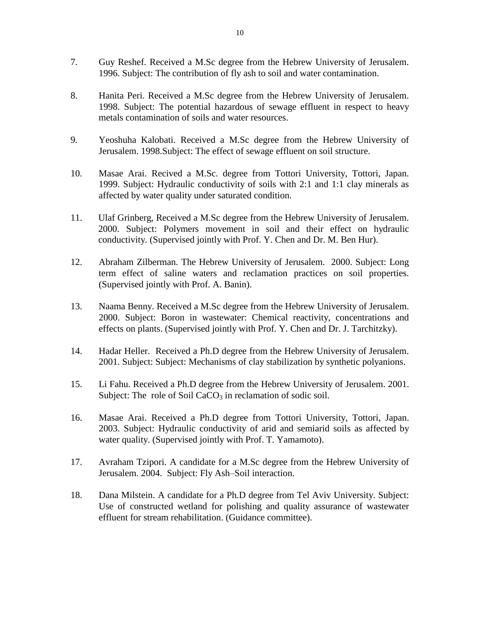- 7. Guy Reshef. Received a M.Sc degree from the Hebrew University of Jerusalem. 1996. Subject: The contribution of fly ash to soil and water contamination.
- 8. Hanita Peri. Received a M.Sc degree from the Hebrew University of Jerusalem. 1998. Subject: The potential hazardous of sewage effluent in respect to heavy metals contamination of soils and water resources.
- 9. Yeoshuha Kalobati. Received a M.Sc degree from the Hebrew University of Jerusalem. 1998.Subject: The effect of sewage effluent on soil structure.
- 10. Masae Arai. Recived a M.Sc. degree from Tottori University, Tottori, Japan. 1999. Subject: Hydraulic conductivity of soils with 2:1 and 1:1 clay minerals as affected by water quality under saturated condition.
- 11. Ulaf Grinberg, Received a M.Sc degree from the Hebrew University of Jerusalem. 2000. Subject: Polymers movement in soil and their effect on hydraulic conductivity. (Supervised jointly with Prof. Y. Chen and Dr. M. Ben Hur).
- 12. Abraham Zilberman. The Hebrew University of Jerusalem. 2000. Subject: Long term effect of saline waters and reclamation practices on soil properties. (Supervised jointly with Prof. A. Banin).
- 13. Naama Benny. Received a M.Sc degree from the Hebrew University of Jerusalem. 2000. Subject: Boron in wastewater: Chemical reactivity, concentrations and effects on plants. (Supervised jointly with Prof. Y. Chen and Dr. J. Tarchitzky).
- 14. Hadar Heller. Received a Ph.D degree from the Hebrew University of Jerusalem. 2001. Subject: Subject: Mechanisms of clay stabilization by synthetic polyanions.
- 15. Li Fahu. Received a Ph.D degree from the Hebrew University of Jerusalem. 2001. Subject: The role of Soil CaCO<sub>3</sub> in reclamation of sodic soil.
- 16. Masae Arai. Received a Ph.D degree from Tottori University, Tottori, Japan. 2003. Subject: Hydraulic conductivity of arid and semiarid soils as affected by water quality. (Supervised jointly with Prof. T. Yamamoto).
- 17. Avraham Tzipori. A candidate for a M.Sc degree from the Hebrew University of Jerusalem. 2004. Subject: Fly Ash–Soil interaction.
- 18. Dana Milstein. A candidate for a Ph.D degree from Tel Aviv University. Subject: Use of constructed wetland for polishing and quality assurance of wastewater effluent for stream rehabilitation. (Guidance committee).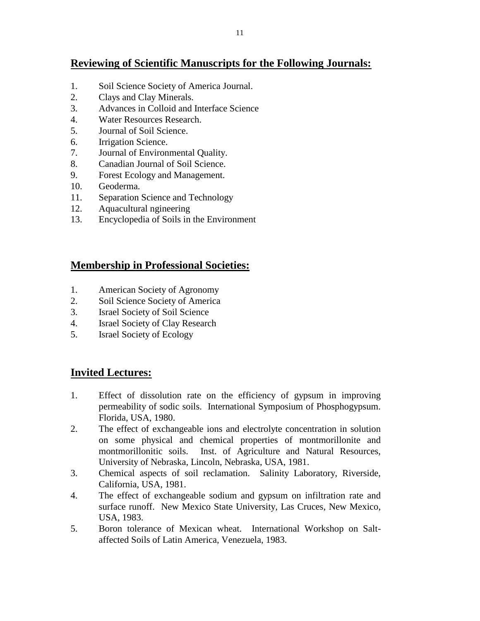# **Reviewing of Scientific Manuscripts for the Following Journals:**

- 1. Soil Science Society of America Journal.
- 2. Clays and Clay Minerals.
- 3. Advances in Colloid and Interface Science
- 4. Water Resources Research.
- 5. Journal of Soil Science.
- 6. Irrigation Science.
- 7. Journal of Environmental Quality.
- 8. Canadian Journal of Soil Science.
- 9. Forest Ecology and Management.
- 10. Geoderma.
- 11. Separation Science and Technology
- 12. Aquacultural ngineering
- 13. Encyclopedia of Soils in the Environment

# **Membership in Professional Societies:**

- 1. American Society of Agronomy
- 2. Soil Science Society of America
- 3. Israel Society of Soil Science
- 4. Israel Society of Clay Research
- 5. Israel Society of Ecology

# **Invited Lectures:**

- 1. Effect of dissolution rate on the efficiency of gypsum in improving permeability of sodic soils. International Symposium of Phosphogypsum. Florida, USA, 1980.
- 2. The effect of exchangeable ions and electrolyte concentration in solution on some physical and chemical properties of montmorillonite and montmorillonitic soils. Inst. of Agriculture and Natural Resources, University of Nebraska, Lincoln, Nebraska, USA, 1981.
- 3. Chemical aspects of soil reclamation. Salinity Laboratory, Riverside, California, USA, 1981.
- 4. The effect of exchangeable sodium and gypsum on infiltration rate and surface runoff. New Mexico State University, Las Cruces, New Mexico, USA, 1983.
- 5. Boron tolerance of Mexican wheat. International Workshop on Saltaffected Soils of Latin America, Venezuela, 1983.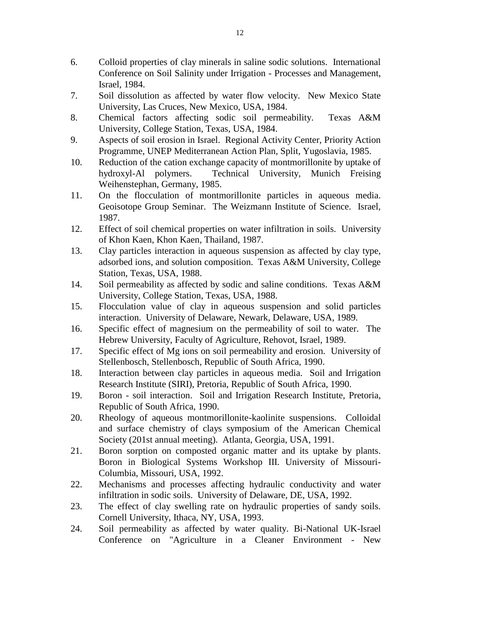- 6. Colloid properties of clay minerals in saline sodic solutions. International Conference on Soil Salinity under Irrigation - Processes and Management, Israel, 1984.
- 7. Soil dissolution as affected by water flow velocity. New Mexico State University, Las Cruces, New Mexico, USA, 1984.
- 8. Chemical factors affecting sodic soil permeability. Texas A&M University, College Station, Texas, USA, 1984.
- 9. Aspects of soil erosion in Israel. Regional Activity Center, Priority Action Programme, UNEP Mediterranean Action Plan, Split, Yugoslavia, 1985.
- 10. Reduction of the cation exchange capacity of montmorillonite by uptake of hydroxyl-Al polymers. Technical University, Munich Freising Weihenstephan, Germany, 1985.
- 11. On the flocculation of montmorillonite particles in aqueous media. Geoisotope Group Seminar. The Weizmann Institute of Science. Israel, 1987.
- 12. Effect of soil chemical properties on water infiltration in soils. University of Khon Kaen, Khon Kaen, Thailand, 1987.
- 13. Clay particles interaction in aqueous suspension as affected by clay type, adsorbed ions, and solution composition. Texas A&M University, College Station, Texas, USA, 1988.
- 14. Soil permeability as affected by sodic and saline conditions. Texas A&M University, College Station, Texas, USA, 1988.
- 15. Flocculation value of clay in aqueous suspension and solid particles interaction. University of Delaware, Newark, Delaware, USA, 1989.
- 16. Specific effect of magnesium on the permeability of soil to water. The Hebrew University, Faculty of Agriculture, Rehovot, Israel, 1989.
- 17. Specific effect of Mg ions on soil permeability and erosion. University of Stellenbosch, Stellenbosch, Republic of South Africa, 1990.
- 18. Interaction between clay particles in aqueous media. Soil and Irrigation Research Institute (SIRI), Pretoria, Republic of South Africa, 1990.
- 19. Boron soil interaction. Soil and Irrigation Research Institute, Pretoria, Republic of South Africa, 1990.
- 20. Rheology of aqueous montmorillonite-kaolinite suspensions. Colloidal and surface chemistry of clays symposium of the American Chemical Society (201st annual meeting). Atlanta, Georgia, USA, 1991.
- 21. Boron sorption on composted organic matter and its uptake by plants. Boron in Biological Systems Workshop III. University of Missouri-Columbia, Missouri, USA, 1992.
- 22. Mechanisms and processes affecting hydraulic conductivity and water infiltration in sodic soils. University of Delaware, DE, USA, 1992.
- 23. The effect of clay swelling rate on hydraulic properties of sandy soils. Cornell University, Ithaca, NY, USA, 1993.
- 24. Soil permeability as affected by water quality. Bi-National UK-Israel Conference on "Agriculture in a Cleaner Environment - New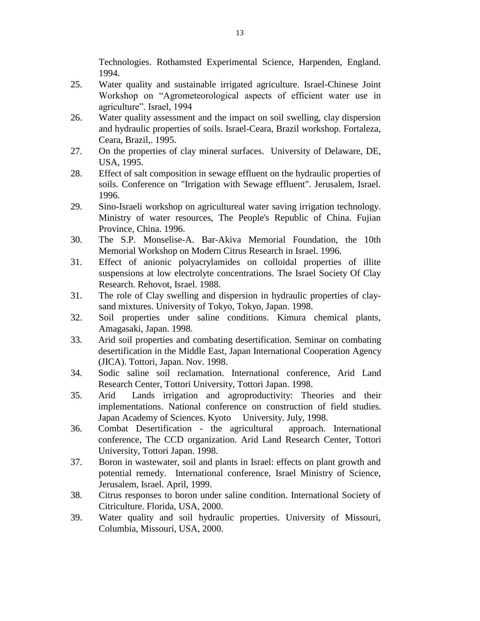Technologies. Rothamsted Experimental Science, Harpenden, England. 1994.

- 25. Water quality and sustainable irrigated agriculture. Israel-Chinese Joint Workshop on "Agrometeorological aspects of efficient water use in agriculture". Israel, 1994
- 26. Water quality assessment and the impact on soil swelling, clay dispersion and hydraulic properties of soils. Israel-Ceara, Brazil workshop. Fortaleza, Ceara, Brazil,. 1995.
- 27. On the properties of clay mineral surfaces. University of Delaware, DE, USA, 1995.
- 28. Effect of salt composition in sewage effluent on the hydraulic properties of soils. Conference on "Irrigation with Sewage effluent". Jerusalem, Israel. 1996.
- 29. Sino-Israeli workshop on agricultureal water saving irrigation technology. Ministry of water resources, The People's Republic of China. Fujian Province, China. 1996.
- 30. The S.P. Monselise-A. Bar-Akiva Memorial Foundation, the 10th Memorial Workshop on Modern Citrus Research in Israel. 1996.
- 31. Effect of anionic polyacrylamides on colloidal properties of illite suspensions at low electrolyte concentrations. The Israel Society Of Clay Research. Rehovot, Israel. 1988.
- 31. The role of Clay swelling and dispersion in hydraulic properties of claysand mixtures. University of Tokyo, Tokyo, Japan. 1998.
- 32. Soil properties under saline conditions. Kimura chemical plants, Amagasaki, Japan. 1998.
- 33. Arid soil properties and combating desertification. Seminar on combating desertification in the Middle East, Japan International Cooperation Agency (JICA). Tottori, Japan. Nov. 1998.
- 34. Sodic saline soil reclamation. International conference, Arid Land Research Center, Tottori University, Tottori Japan. 1998.
- 35. Arid Lands irrigation and agroproductivity: Theories and their implementations. National conference on construction of field studies. Japan Academy of Sciences. Kyoto University. July, 1998.
- 36. Combat Desertification the agricultural approach. International conference, The CCD organization. Arid Land Research Center, Tottori University, Tottori Japan. 1998.
- 37. Boron in wastewater, soil and plants in Israel: effects on plant growth and potential remedy. International conference, Israel Ministry of Science, Jerusalem, Israel. April, 1999.
- 38. Citrus responses to boron under saline condition. International Society of Citriculture. Florida, USA, 2000.
- 39. Water quality and soil hydraulic properties. University of Missouri, Columbia, Missouri, USA, 2000.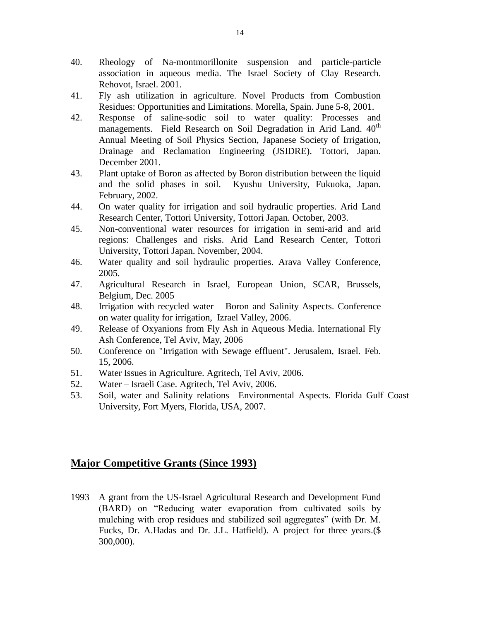- 40. Rheology of Na-montmorillonite suspension and particle-particle association in aqueous media. The Israel Society of Clay Research. Rehovot, Israel. 2001.
- 41. Fly ash utilization in agriculture. Novel Products from Combustion Residues: Opportunities and Limitations. Morella, Spain. June 5-8, 2001.
- 42. Response of saline-sodic soil to water quality: Processes and managements. Field Research on Soil Degradation in Arid Land. 40<sup>th</sup> Annual Meeting of Soil Physics Section, Japanese Society of Irrigation, Drainage and Reclamation Engineering (JSIDRE). Tottori, Japan. December 2001.
- 43. Plant uptake of Boron as affected by Boron distribution between the liquid and the solid phases in soil. Kyushu University, Fukuoka, Japan. February, 2002.
- 44. On water quality for irrigation and soil hydraulic properties. Arid Land Research Center, Tottori University, Tottori Japan. October, 2003.
- 45. Non-conventional water resources for irrigation in semi-arid and arid regions: Challenges and risks. Arid Land Research Center, Tottori University, Tottori Japan. November, 2004.
- 46. Water quality and soil hydraulic properties. Arava Valley Conference, 2005.
- 47. Agricultural Research in Israel, European Union, SCAR, Brussels, Belgium, Dec. 2005
- 48. Irrigation with recycled water Boron and Salinity Aspects. Conference on water quality for irrigation, Izrael Valley, 2006.
- 49. Release of Oxyanions from Fly Ash in Aqueous Media. International Fly Ash Conference, Tel Aviv, May, 2006
- 50. Conference on "Irrigation with Sewage effluent". Jerusalem, Israel. Feb. 15, 2006.
- 51. Water Issues in Agriculture. Agritech, Tel Aviv, 2006.
- 52. Water Israeli Case. Agritech, Tel Aviv, 2006.
- 53. Soil, water and Salinity relations –Environmental Aspects. Florida Gulf Coast University, Fort Myers, Florida, USA, 2007.

### **Major Competitive Grants (Since 1993)**

1993 A grant from the US-Israel Agricultural Research and Development Fund (BARD) on "Reducing water evaporation from cultivated soils by mulching with crop residues and stabilized soil aggregates" (with Dr. M. Fucks, Dr. A.Hadas and Dr. J.L. Hatfield). A project for three years.(\$ 300,000).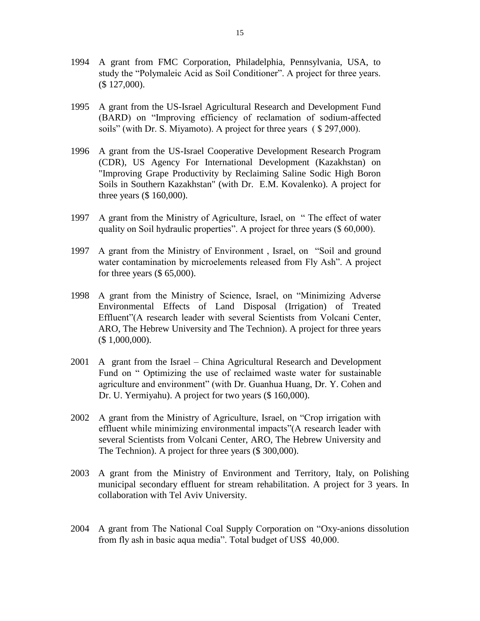- 1994 A grant from FMC Corporation, Philadelphia, Pennsylvania, USA, to study the "Polymaleic Acid as Soil Conditioner". A project for three years. (\$ 127,000).
- 1995 A grant from the US-Israel Agricultural Research and Development Fund (BARD) on "Improving efficiency of reclamation of sodium-affected soils" (with Dr. S. Miyamoto). A project for three years ( \$ 297,000).
- 1996 A grant from the US-Israel Cooperative Development Research Program (CDR), US Agency For International Development (Kazakhstan) on "Improving Grape Productivity by Reclaiming Saline Sodic High Boron Soils in Southern Kazakhstan" (with Dr. E.M. Kovalenko). A project for three years (\$ 160,000).
- 1997 A grant from the Ministry of Agriculture, Israel, on " The effect of water quality on Soil hydraulic properties". A project for three years (\$ 60,000).
- 1997 A grant from the Ministry of Environment , Israel, on "Soil and ground water contamination by microelements released from Fly Ash". A project for three years (\$ 65,000).
- 1998 A grant from the Ministry of Science, Israel, on "Minimizing Adverse Environmental Effects of Land Disposal (Irrigation) of Treated Effluent"(A research leader with several Scientists from Volcani Center, ARO, The Hebrew University and The Technion). A project for three years (\$ 1,000,000).
- 2001 A grant from the Israel China Agricultural Research and Development Fund on " Optimizing the use of reclaimed waste water for sustainable agriculture and environment" (with Dr. Guanhua Huang, Dr. Y. Cohen and Dr. U. Yermiyahu). A project for two years (\$ 160,000).
- 2002 A grant from the Ministry of Agriculture, Israel, on "Crop irrigation with effluent while minimizing environmental impacts"(A research leader with several Scientists from Volcani Center, ARO, The Hebrew University and The Technion). A project for three years (\$ 300,000).
- 2003 A grant from the Ministry of Environment and Territory, Italy, on Polishing municipal secondary effluent for stream rehabilitation. A project for 3 years. In collaboration with Tel Aviv University.
- 2004 A grant from The National Coal Supply Corporation on "Oxy-anions dissolution from fly ash in basic aqua media". Total budget of US\$ 40,000.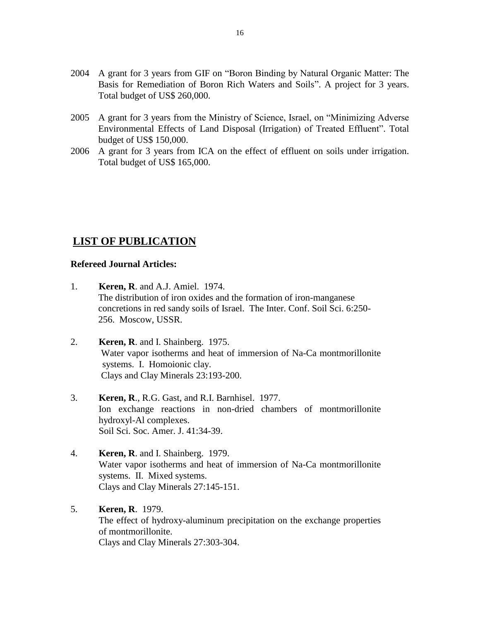- 2004 A grant for 3 years from GIF on "Boron Binding by Natural Organic Matter: The Basis for Remediation of Boron Rich Waters and Soils". A project for 3 years. Total budget of US\$ 260,000.
- 2005 A grant for 3 years from the Ministry of Science, Israel, on "Minimizing Adverse Environmental Effects of Land Disposal (Irrigation) of Treated Effluent". Total budget of US\$ 150,000.
- 2006 A grant for 3 years from ICA on the effect of effluent on soils under irrigation. Total budget of US\$ 165,000.

# **LIST OF PUBLICATION**

### **Refereed Journal Articles:**

- 1. **Keren, R**. and A.J. Amiel. 1974. The distribution of iron oxides and the formation of iron-manganese concretions in red sandy soils of Israel. The Inter. Conf. Soil Sci. 6:250- 256. Moscow, USSR.
- 2. **Keren, R**. and I. Shainberg. 1975. Water vapor isotherms and heat of immersion of Na-Ca montmorillonite systems. I. Homoionic clay. Clays and Clay Minerals 23:193-200.
- 3. **Keren, R**., R.G. Gast, and R.I. Barnhisel. 1977. Ion exchange reactions in non-dried chambers of montmorillonite hydroxyl-Al complexes. Soil Sci. Soc. Amer. J. 41:34-39.
- 4. **Keren, R**. and I. Shainberg. 1979. Water vapor isotherms and heat of immersion of Na-Ca montmorillonite systems. II. Mixed systems. Clays and Clay Minerals 27:145-151.
- 5. **Keren, R**. 1979. The effect of hydroxy-aluminum precipitation on the exchange properties of montmorillonite. Clays and Clay Minerals 27:303-304.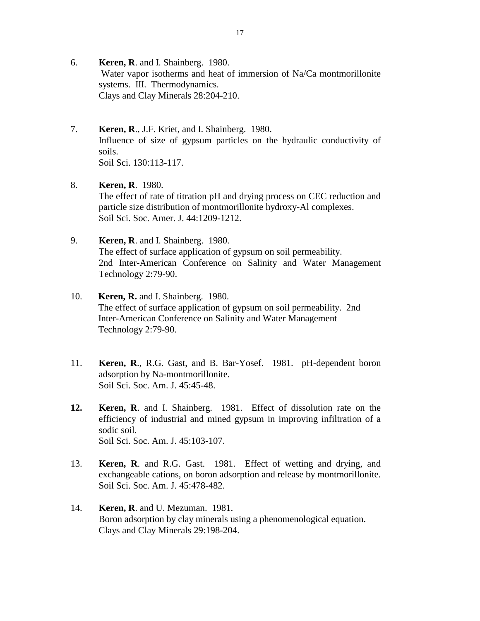- 6. **Keren, R**. and I. Shainberg. 1980. Water vapor isotherms and heat of immersion of Na/Ca montmorillonite systems. III. Thermodynamics. Clays and Clay Minerals 28:204-210.
- 7. **Keren, R**., J.F. Kriet, and I. Shainberg. 1980. Influence of size of gypsum particles on the hydraulic conductivity of soils. Soil Sci. 130:113-117.
- 8. **Keren, R**. 1980. The effect of rate of titration pH and drying process on CEC reduction and particle size distribution of montmorillonite hydroxy-Al complexes. Soil Sci. Soc. Amer. J. 44:1209-1212.
- 9. **Keren, R**. and I. Shainberg. 1980. The effect of surface application of gypsum on soil permeability. 2nd Inter-American Conference on Salinity and Water Management Technology 2:79-90.
- 10. **Keren, R.** and I. Shainberg. 1980. The effect of surface application of gypsum on soil permeability. 2nd Inter-American Conference on Salinity and Water Management Technology 2:79-90.
- 11. **Keren, R**., R.G. Gast, and B. Bar-Yosef. 1981. pH-dependent boron adsorption by Na-montmorillonite. Soil Sci. Soc. Am. J. 45:45-48.
- **12. Keren, R**. and I. Shainberg. 1981. Effect of dissolution rate on the efficiency of industrial and mined gypsum in improving infiltration of a sodic soil. Soil Sci. Soc. Am. J. 45:103-107.
- 13. **Keren, R**. and R.G. Gast. 1981. Effect of wetting and drying, and exchangeable cations, on boron adsorption and release by montmorillonite. Soil Sci. Soc. Am. J. 45:478-482.
- 14. **Keren, R**. and U. Mezuman. 1981. Boron adsorption by clay minerals using a phenomenological equation. Clays and Clay Minerals 29:198-204.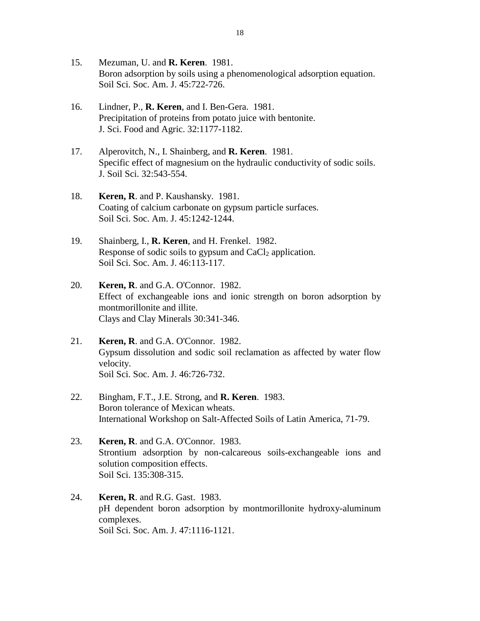- 15. Mezuman, U. and **R. Keren**. 1981. Boron adsorption by soils using a phenomenological adsorption equation. Soil Sci. Soc. Am. J. 45:722-726.
- 16. Lindner, P., **R. Keren**, and I. Ben-Gera. 1981. Precipitation of proteins from potato juice with bentonite. J. Sci. Food and Agric. 32:1177-1182.
- 17. Alperovitch, N., I. Shainberg, and **R. Keren**. 1981. Specific effect of magnesium on the hydraulic conductivity of sodic soils. J. Soil Sci. 32:543-554.
- 18. **Keren, R**. and P. Kaushansky. 1981. Coating of calcium carbonate on gypsum particle surfaces. Soil Sci. Soc. Am. J. 45:1242-1244.
- 19. Shainberg, I., **R. Keren**, and H. Frenkel. 1982. Response of sodic soils to gypsum and  $CaCl<sub>2</sub>$  application. Soil Sci. Soc. Am. J. 46:113-117.
- 20. **Keren, R**. and G.A. O'Connor. 1982. Effect of exchangeable ions and ionic strength on boron adsorption by montmorillonite and illite. Clays and Clay Minerals 30:341-346.
- 21. **Keren, R**. and G.A. O'Connor. 1982. Gypsum dissolution and sodic soil reclamation as affected by water flow velocity. Soil Sci. Soc. Am. J. 46:726-732.
- 22. Bingham, F.T., J.E. Strong, and **R. Keren**. 1983. Boron tolerance of Mexican wheats. International Workshop on Salt-Affected Soils of Latin America, 71-79.
- 23. **Keren, R**. and G.A. O'Connor. 1983. Strontium adsorption by non-calcareous soils-exchangeable ions and solution composition effects. Soil Sci. 135:308-315.
- 24. **Keren, R**. and R.G. Gast. 1983. pH dependent boron adsorption by montmorillonite hydroxy-aluminum complexes. Soil Sci. Soc. Am. J. 47:1116-1121.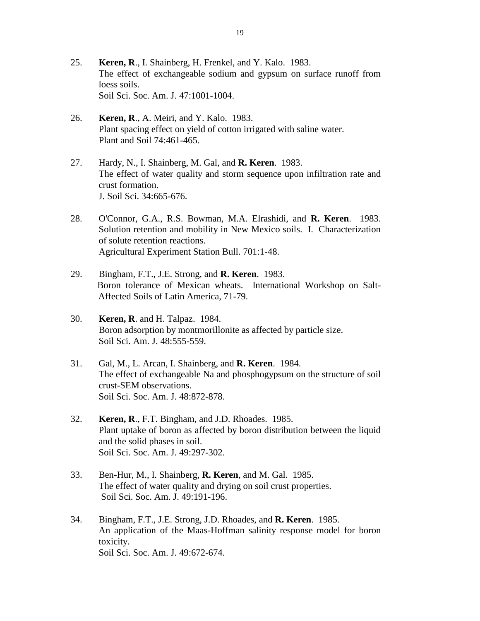- 25. **Keren, R**., I. Shainberg, H. Frenkel, and Y. Kalo. 1983. The effect of exchangeable sodium and gypsum on surface runoff from loess soils. Soil Sci. Soc. Am. J. 47:1001-1004.
- 26. **Keren, R**., A. Meiri, and Y. Kalo. 1983. Plant spacing effect on yield of cotton irrigated with saline water. Plant and Soil 74:461-465.
- 27. Hardy, N., I. Shainberg, M. Gal, and **R. Keren**. 1983. The effect of water quality and storm sequence upon infiltration rate and crust formation. J. Soil Sci. 34:665-676.
- 28. O'Connor, G.A., R.S. Bowman, M.A. Elrashidi, and **R. Keren**. 1983. Solution retention and mobility in New Mexico soils. I. Characterization of solute retention reactions. Agricultural Experiment Station Bull. 701:1-48.
- 29. Bingham, F.T., J.E. Strong, and **R. Keren**. 1983. Boron tolerance of Mexican wheats. International Workshop on Salt-Affected Soils of Latin America, 71-79.
- 30. **Keren, R**. and H. Talpaz. 1984. Boron adsorption by montmorillonite as affected by particle size. Soil Sci. Am. J. 48:555-559.
- 31. Gal, M., L. Arcan, I. Shainberg, and **R. Keren**. 1984. The effect of exchangeable Na and phosphogypsum on the structure of soil crust-SEM observations. Soil Sci. Soc. Am. J. 48:872-878.
- 32. **Keren, R**., F.T. Bingham, and J.D. Rhoades. 1985. Plant uptake of boron as affected by boron distribution between the liquid and the solid phases in soil. Soil Sci. Soc. Am. J. 49:297-302.
- 33. Ben-Hur, M., I. Shainberg, **R. Keren**, and M. Gal. 1985. The effect of water quality and drying on soil crust properties. Soil Sci. Soc. Am. J. 49:191-196.
- 34. Bingham, F.T., J.E. Strong, J.D. Rhoades, and **R. Keren**. 1985. An application of the Maas-Hoffman salinity response model for boron toxicity. Soil Sci. Soc. Am. J. 49:672-674.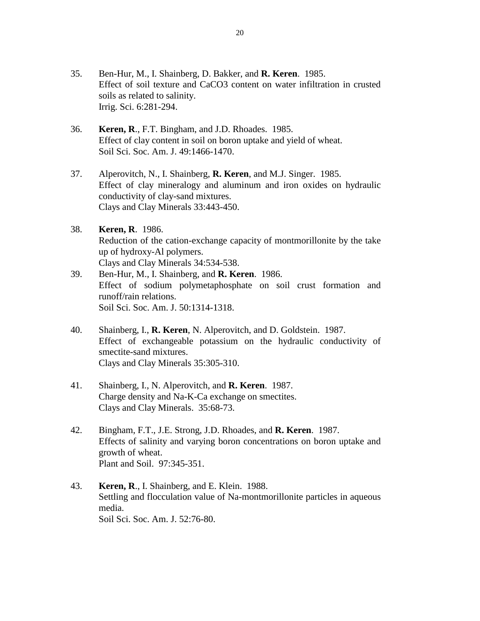- 35. Ben-Hur, M., I. Shainberg, D. Bakker, and **R. Keren**. 1985. Effect of soil texture and CaCO3 content on water infiltration in crusted soils as related to salinity. Irrig. Sci. 6:281-294.
- 36. **Keren, R**., F.T. Bingham, and J.D. Rhoades. 1985. Effect of clay content in soil on boron uptake and yield of wheat. Soil Sci. Soc. Am. J. 49:1466-1470.
- 37. Alperovitch, N., I. Shainberg, **R. Keren**, and M.J. Singer. 1985. Effect of clay mineralogy and aluminum and iron oxides on hydraulic conductivity of clay-sand mixtures. Clays and Clay Minerals 33:443-450.
- 38. **Keren, R**. 1986. Reduction of the cation-exchange capacity of montmorillonite by the take up of hydroxy-Al polymers. Clays and Clay Minerals 34:534-538.
- 39. Ben-Hur, M., I. Shainberg, and **R. Keren**. 1986. Effect of sodium polymetaphosphate on soil crust formation and runoff/rain relations. Soil Sci. Soc. Am. J. 50:1314-1318.
- 40. Shainberg, I., **R. Keren**, N. Alperovitch, and D. Goldstein. 1987. Effect of exchangeable potassium on the hydraulic conductivity of smectite-sand mixtures. Clays and Clay Minerals 35:305-310.
- 41. Shainberg, I., N. Alperovitch, and **R. Keren**. 1987. Charge density and Na-K-Ca exchange on smectites. Clays and Clay Minerals. 35:68-73.
- 42. Bingham, F.T., J.E. Strong, J.D. Rhoades, and **R. Keren**. 1987. Effects of salinity and varying boron concentrations on boron uptake and growth of wheat. Plant and Soil. 97:345-351.
- 43. **Keren, R**., I. Shainberg, and E. Klein. 1988. Settling and flocculation value of Na-montmorillonite particles in aqueous media. Soil Sci. Soc. Am. J. 52:76-80.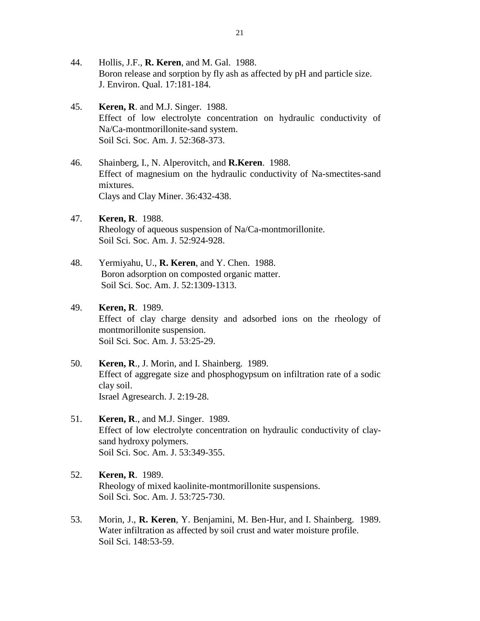- 44. Hollis, J.F., **R. Keren**, and M. Gal. 1988. Boron release and sorption by fly ash as affected by pH and particle size. J. Environ. Qual. 17:181-184.
- 45. **Keren, R**. and M.J. Singer. 1988. Effect of low electrolyte concentration on hydraulic conductivity of Na/Ca-montmorillonite-sand system. Soil Sci. Soc. Am. J. 52:368-373.
- 46. Shainberg, I., N. Alperovitch, and **R.Keren**. 1988. Effect of magnesium on the hydraulic conductivity of Na-smectites-sand mixtures. Clays and Clay Miner. 36:432-438.
- 47. **Keren, R**. 1988. Rheology of aqueous suspension of Na/Ca-montmorillonite. Soil Sci. Soc. Am. J. 52:924-928.
- 48. Yermiyahu, U., **R. Keren**, and Y. Chen. 1988. Boron adsorption on composted organic matter. Soil Sci. Soc. Am. J. 52:1309-1313.
- 49. **Keren, R**. 1989. Effect of clay charge density and adsorbed ions on the rheology of montmorillonite suspension. Soil Sci. Soc. Am. J. 53:25-29.
- 50. **Keren, R**., J. Morin, and I. Shainberg. 1989. Effect of aggregate size and phosphogypsum on infiltration rate of a sodic clay soil. Israel Agresearch. J. 2:19-28.
- 51. **Keren, R**., and M.J. Singer. 1989. Effect of low electrolyte concentration on hydraulic conductivity of claysand hydroxy polymers. Soil Sci. Soc. Am. J. 53:349-355.
- 52. **Keren, R**. 1989. Rheology of mixed kaolinite-montmorillonite suspensions. Soil Sci. Soc. Am. J. 53:725-730.
- 53. Morin, J., **R. Keren**, Y. Benjamini, M. Ben-Hur, and I. Shainberg. 1989. Water infiltration as affected by soil crust and water moisture profile. Soil Sci. 148:53-59.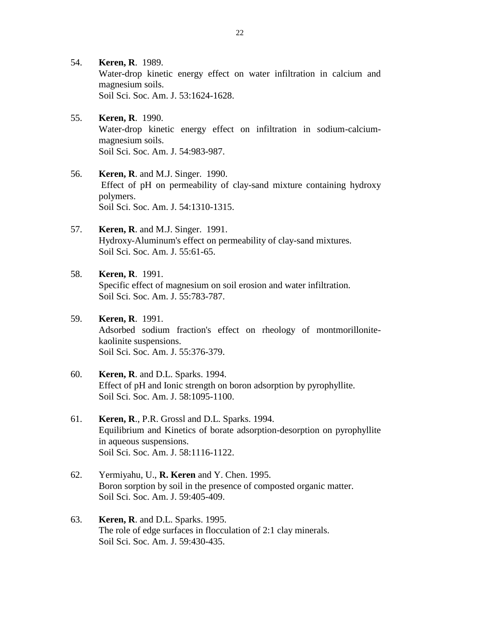- 54. **Keren, R**. 1989. Water-drop kinetic energy effect on water infiltration in calcium and magnesium soils. Soil Sci. Soc. Am. J. 53:1624-1628.
- 55. **Keren, R**. 1990. Water-drop kinetic energy effect on infiltration in sodium-calciummagnesium soils. Soil Sci. Soc. Am. J. 54:983-987.
- 56. **Keren, R**. and M.J. Singer. 1990. Effect of pH on permeability of clay-sand mixture containing hydroxy polymers. Soil Sci. Soc. Am. J. 54:1310-1315.
- 57. **Keren, R**. and M.J. Singer. 1991. Hydroxy-Aluminum's effect on permeability of clay-sand mixtures. Soil Sci. Soc. Am. J. 55:61-65.

# 58. **Keren, R**. 1991.

Specific effect of magnesium on soil erosion and water infiltration. Soil Sci. Soc. Am. J. 55:783-787.

#### 59. **Keren, R**. 1991.

Adsorbed sodium fraction's effect on rheology of montmorillonitekaolinite suspensions. Soil Sci. Soc. Am. J. 55:376-379.

- 60. **Keren, R**. and D.L. Sparks. 1994. Effect of pH and Ionic strength on boron adsorption by pyrophyllite. Soil Sci. Soc. Am. J. 58:1095-1100.
- 61. **Keren, R**., P.R. Grossl and D.L. Sparks. 1994. Equilibrium and Kinetics of borate adsorption-desorption on pyrophyllite in aqueous suspensions. Soil Sci. Soc. Am. J. 58:1116-1122.
- 62. Yermiyahu, U., **R. Keren** and Y. Chen. 1995. Boron sorption by soil in the presence of composted organic matter. Soil Sci. Soc. Am. J. 59:405-409.
- 63. **Keren, R**. and D.L. Sparks. 1995. The role of edge surfaces in flocculation of 2:1 clay minerals. Soil Sci. Soc. Am. J. 59:430-435.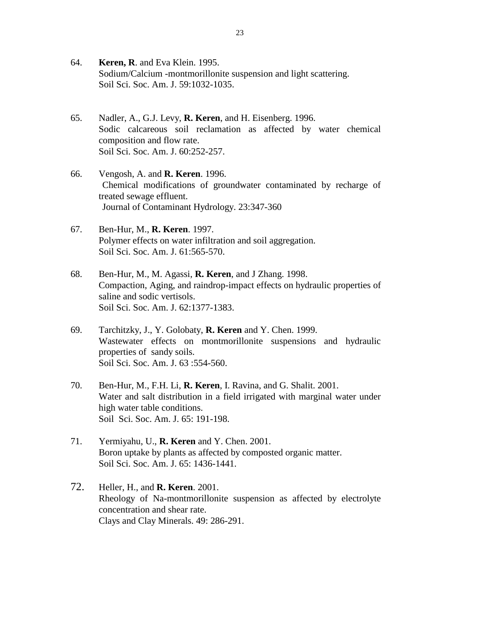- 64. **Keren, R**. and Eva Klein. 1995. Sodium/Calcium -montmorillonite suspension and light scattering. Soil Sci. Soc. Am. J. 59:1032-1035.
- 65. Nadler, A., G.J. Levy, **R. Keren**, and H. Eisenberg. 1996. Sodic calcareous soil reclamation as affected by water chemical composition and flow rate. Soil Sci. Soc. Am. J. 60:252-257.
- 66. Vengosh, A. and **R. Keren**. 1996. Chemical modifications of groundwater contaminated by recharge of treated sewage effluent. Journal of Contaminant Hydrology. 23:347-360
- 67. Ben-Hur, M., **R. Keren**. 1997. Polymer effects on water infiltration and soil aggregation. Soil Sci. Soc. Am. J. 61:565-570.
- 68. Ben-Hur, M., M. Agassi, **R. Keren**, and J Zhang. 1998. Compaction, Aging, and raindrop-impact effects on hydraulic properties of saline and sodic vertisols. Soil Sci. Soc. Am. J. 62:1377-1383.
- 69. Tarchitzky, J., Y. Golobaty, **R. Keren** and Y. Chen. 1999. Wastewater effects on montmorillonite suspensions and hydraulic properties of sandy soils. Soil Sci. Soc. Am. J. 63 :554-560.
- 70. Ben-Hur, M., F.H. Li, **R. Keren**, I. Ravina, and G. Shalit. 2001. Water and salt distribution in a field irrigated with marginal water under high water table conditions. Soil Sci. Soc. Am. J. 65: 191-198.
- 71. Yermiyahu, U., **R. Keren** and Y. Chen. 2001. Boron uptake by plants as affected by composted organic matter. Soil Sci. Soc. Am. J. 65: 1436-1441.
- 72. Heller, H., and **R. Keren**. 2001. Rheology of Na-montmorillonite suspension as affected by electrolyte concentration and shear rate. Clays and Clay Minerals. 49: 286-291.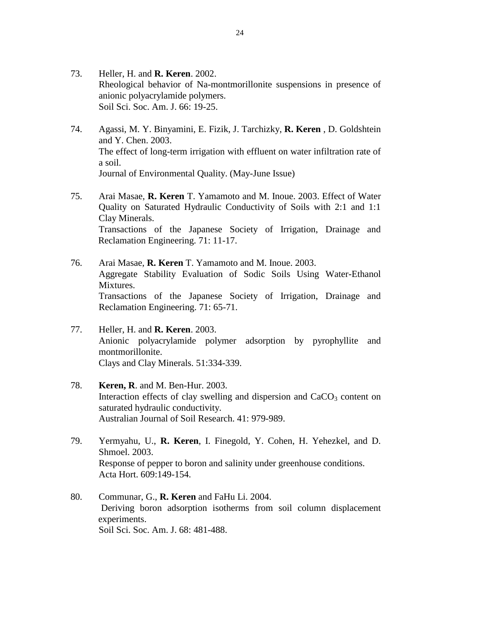- 73. Heller, H. and **R. Keren**. 2002. Rheological behavior of Na-montmorillonite suspensions in presence of anionic polyacrylamide polymers. Soil Sci. Soc. Am. J. 66: 19-25.
- 74. Agassi, M. Y. Binyamini, E. Fizik, J. Tarchizky, **R. Keren** , D. Goldshtein and Y. Chen. 2003. The effect of long-term irrigation with effluent on water infiltration rate of a soil. Journal of Environmental Quality. (May-June Issue)
- 75. Arai Masae, **R. Keren** T. Yamamoto and M. Inoue. 2003. Effect of Water Quality on Saturated Hydraulic Conductivity of Soils with 2:1 and 1:1 Clay Minerals. Transactions of the Japanese Society of Irrigation, Drainage and Reclamation Engineering. 71: 11-17.
- 76. Arai Masae, **R. Keren** T. Yamamoto and M. Inoue. 2003. Aggregate Stability Evaluation of Sodic Soils Using Water-Ethanol Mixtures. Transactions of the Japanese Society of Irrigation, Drainage and Reclamation Engineering. 71: 65-71.
- 77. Heller, H. and **R. Keren**. 2003. Anionic polyacrylamide polymer adsorption by pyrophyllite and montmorillonite. Clays and Clay Minerals. 51:334-339.
- 78. **Keren, R**. and M. Ben-Hur. 2003. Interaction effects of clay swelling and dispersion and  $CaCO<sub>3</sub>$  content on saturated hydraulic conductivity. Australian Journal of Soil Research. 41: 979-989.
- 79. Yermyahu, U., **R. Keren**, I. Finegold, Y. Cohen, H. Yehezkel, and D. Shmoel. 2003. Response of pepper to boron and salinity under greenhouse conditions. Acta Hort. 609:149-154.
- 80. Communar, G., **R. Keren** and FaHu Li. 2004. Deriving boron adsorption isotherms from soil column displacement experiments. Soil Sci. Soc. Am. J. 68: 481-488.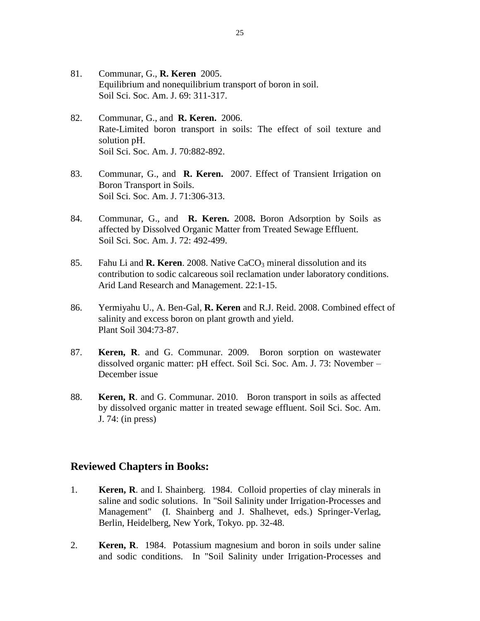- 81. Communar, G., **R. Keren** 2005. Equilibrium and nonequilibrium transport of boron in soil. Soil Sci. Soc. Am. J. 69: 311-317.
- 82. Communar, G., and **R. Keren.** 2006. Rate-Limited boron transport in soils: The effect of soil texture and solution pH. Soil Sci. Soc. Am. J. 70:882-892.
- 83. Communar, G., and **R. Keren.** 2007. Effect of Transient Irrigation on Boron Transport in Soils. Soil Sci. Soc. Am. J. 71:306-313.
- 84. Communar, G., and **R. Keren.** 2008**.** Boron Adsorption by Soils as affected by Dissolved Organic Matter from Treated Sewage Effluent. Soil Sci. Soc. Am. J. 72: 492-499.
- 85. Fahu Li and **R. Keren**. 2008. Native CaCO<sub>3</sub> mineral dissolution and its contribution to sodic calcareous soil reclamation under laboratory conditions. Arid Land Research and Management. 22:1-15.
- 86. Yermiyahu U., A. Ben-Gal, **R. Keren** and R.J. Reid. 2008. Combined effect of salinity and excess boron on plant growth and yield. Plant Soil 304:73-87.
- 87. **Keren, R**. and G. Communar. 2009. Boron sorption on wastewater dissolved organic matter: pH effect. Soil Sci. Soc. Am. J. 73: November – December issue
- 88. **Keren, R**. and G. Communar. 2010. Boron transport in soils as affected by dissolved organic matter in treated sewage effluent. Soil Sci. Soc. Am. J. 74: (in press)

#### **Reviewed Chapters in Books:**

- 1. **Keren, R**. and I. Shainberg. 1984. Colloid properties of clay minerals in saline and sodic solutions. In "Soil Salinity under Irrigation-Processes and Management" (I. Shainberg and J. Shalhevet, eds.) Springer-Verlag, Berlin, Heidelberg, New York, Tokyo. pp. 32-48.
- 2. **Keren, R**. 1984. Potassium magnesium and boron in soils under saline and sodic conditions. In "Soil Salinity under Irrigation-Processes and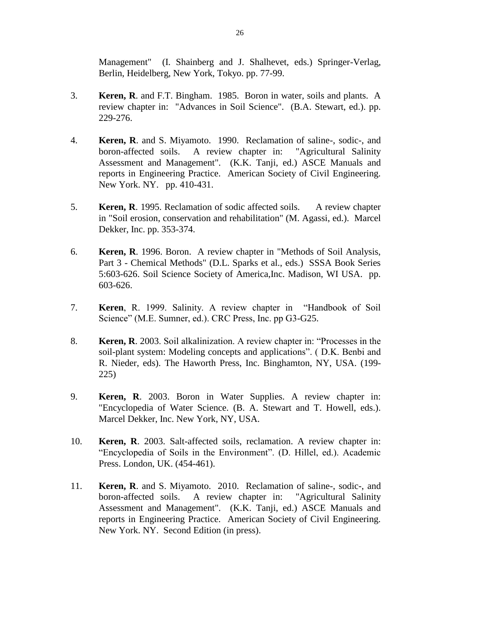Management" (I. Shainberg and J. Shalhevet, eds.) Springer-Verlag, Berlin, Heidelberg, New York, Tokyo. pp. 77-99.

- 3. **Keren, R**. and F.T. Bingham. 1985. Boron in water, soils and plants. A review chapter in: "Advances in Soil Science". (B.A. Stewart, ed.). pp. 229-276.
- 4. **Keren, R**. and S. Miyamoto. 1990. Reclamation of saline-, sodic-, and boron-affected soils. A review chapter in: "Agricultural Salinity Assessment and Management". (K.K. Tanji, ed.) ASCE Manuals and reports in Engineering Practice. American Society of Civil Engineering. New York. NY. pp. 410-431.
- 5. **Keren, R**. 1995. Reclamation of sodic affected soils. A review chapter in "Soil erosion, conservation and rehabilitation" (M. Agassi, ed.). Marcel Dekker, Inc. pp. 353-374.
- 6. **Keren, R**. 1996. Boron. A review chapter in "Methods of Soil Analysis, Part 3 - Chemical Methods" (D.L. Sparks et al., eds.) SSSA Book Series 5:603-626. Soil Science Society of America,Inc. Madison, WI USA. pp. 603-626.
- 7. **Keren**, R. 1999. Salinity. A review chapter in "Handbook of Soil Science" (M.E. Sumner, ed.). CRC Press, Inc. pp G3-G25.
- 8. **Keren, R**. 2003. Soil alkalinization. A review chapter in: "Processes in the soil-plant system: Modeling concepts and applications". ( D.K. Benbi and R. Nieder, eds). The Haworth Press, Inc. Binghamton, NY, USA. (199- 225)
- 9. **Keren, R**. 2003. Boron in Water Supplies. A review chapter in: "Encyclopedia of Water Science. (B. A. Stewart and T. Howell, eds.). Marcel Dekker, Inc. New York, NY, USA.
- 10. **Keren, R**. 2003. Salt-affected soils, reclamation. A review chapter in: "Encyclopedia of Soils in the Environment". (D. Hillel, ed.). Academic Press. London, UK. (454-461).
- 11. **Keren, R**. and S. Miyamoto. 2010. Reclamation of saline-, sodic-, and boron-affected soils. A review chapter in: "Agricultural Salinity Assessment and Management". (K.K. Tanji, ed.) ASCE Manuals and reports in Engineering Practice. American Society of Civil Engineering. New York. NY. Second Edition (in press).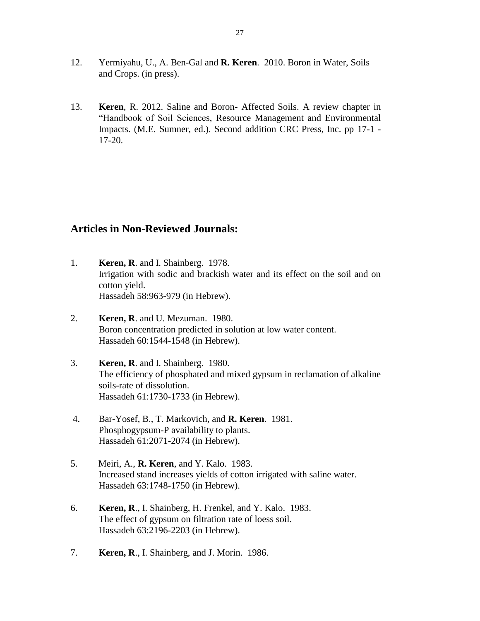- 12. Yermiyahu, U., A. Ben-Gal and **R. Keren**. 2010. Boron in Water, Soils and Crops. (in press).
- 13. **Keren**, R. 2012. Saline and Boron- Affected Soils. A review chapter in "Handbook of Soil Sciences, Resource Management and Environmental Impacts. (M.E. Sumner, ed.). Second addition CRC Press, Inc. pp 17-1 - 17-20.

### **Articles in Non-Reviewed Journals:**

- 1. **Keren, R**. and I. Shainberg. 1978. Irrigation with sodic and brackish water and its effect on the soil and on cotton yield. Hassadeh 58:963-979 (in Hebrew).
- 2. **Keren, R**. and U. Mezuman. 1980. Boron concentration predicted in solution at low water content. Hassadeh 60:1544-1548 (in Hebrew).
- 3. **Keren, R**. and I. Shainberg. 1980. The efficiency of phosphated and mixed gypsum in reclamation of alkaline soils-rate of dissolution. Hassadeh 61:1730-1733 (in Hebrew).
- 4. Bar-Yosef, B., T. Markovich, and **R. Keren**. 1981. Phosphogypsum-P availability to plants. Hassadeh 61:2071-2074 (in Hebrew).
- 5. Meiri, A., **R. Keren**, and Y. Kalo. 1983. Increased stand increases yields of cotton irrigated with saline water. Hassadeh 63:1748-1750 (in Hebrew).
- 6. **Keren, R**., I. Shainberg, H. Frenkel, and Y. Kalo. 1983. The effect of gypsum on filtration rate of loess soil. Hassadeh 63:2196-2203 (in Hebrew).
- 7. **Keren, R**., I. Shainberg, and J. Morin. 1986.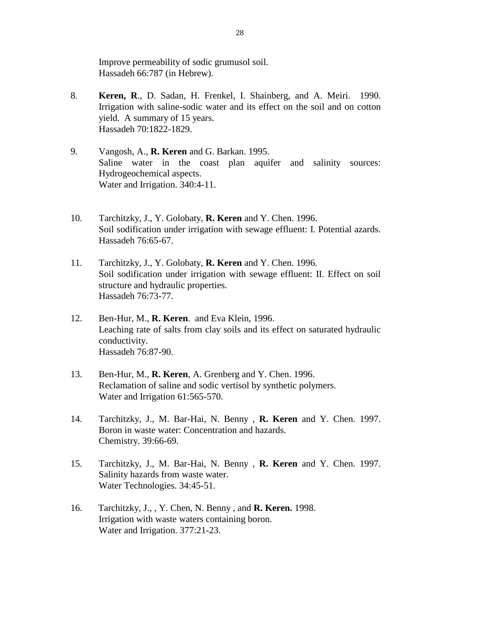Improve permeability of sodic grumusol soil. Hassadeh 66:787 (in Hebrew).

- 8. **Keren, R**., D. Sadan, H. Frenkel, I. Shainberg, and A. Meiri. 1990. Irrigation with saline-sodic water and its effect on the soil and on cotton yield. A summary of 15 years. Hassadeh 70:1822-1829.
- 9. Vangosh, A., **R. Keren** and G. Barkan. 1995. Saline water in the coast plan aquifer and salinity sources: Hydrogeochemical aspects. Water and Irrigation. 340:4-11.
- 10. Tarchitzky, J., Y. Golobaty, **R. Keren** and Y. Chen. 1996. Soil sodification under irrigation with sewage effluent: I. Potential azards. Hassadeh 76:65-67.
- 11. Tarchitzky, J., Y. Golobaty, **R. Keren** and Y. Chen. 1996. Soil sodification under irrigation with sewage effluent: II. Effect on soil structure and hydraulic properties. Hassadeh 76:73-77.
- 12. Ben-Hur, M., **R. Keren**. and Eva Klein, 1996. Leaching rate of salts from clay soils and its effect on saturated hydraulic conductivity. Hassadeh 76:87-90.
- 13. Ben-Hur, M., **R. Keren**, A. Grenberg and Y. Chen. 1996. Reclamation of saline and sodic vertisol by synthetic polymers. Water and Irrigation 61:565-570.
- 14. Tarchitzky, J., M. Bar-Hai, N. Benny , **R. Keren** and Y. Chen. 1997. Boron in waste water: Concentration and hazards. Chemistry. 39:66-69.
- 15. Tarchitzky, J., M. Bar-Hai, N. Benny , **R. Keren** and Y. Chen. 1997. Salinity hazards from waste water. Water Technologies. 34:45-51.
- 16. Tarchitzky, J., , Y. Chen, N. Benny , and **R. Keren.** 1998. Irrigation with waste waters containing boron. Water and Irrigation. 377:21-23.